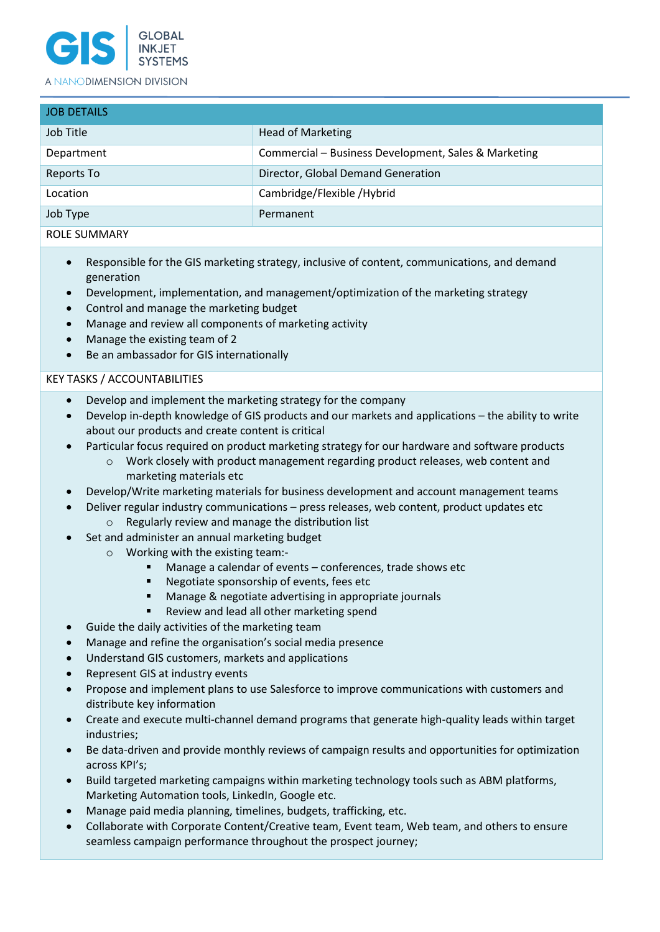

### A NANODIMENSION DIVISION

| <b>JOB DETAILS</b> |                                                      |
|--------------------|------------------------------------------------------|
| Job Title          | <b>Head of Marketing</b>                             |
| Department         | Commercial – Business Development, Sales & Marketing |
| Reports To         | Director, Global Demand Generation                   |
| Location           | Cambridge/Flexible /Hybrid                           |
| Job Type           | Permanent                                            |
| ROLE SUMMARY       |                                                      |

- Responsible for the GIS marketing strategy, inclusive of content, communications, and demand generation
- Development, implementation, and management/optimization of the marketing strategy
- Control and manage the marketing budget
- Manage and review all components of marketing activity
- Manage the existing team of 2
- Be an ambassador for GIS internationally

# KEY TASKS / ACCOUNTABILITIES

- Develop and implement the marketing strategy for the company
- Develop in-depth knowledge of GIS products and our markets and applications the ability to write about our products and create content is critical
- Particular focus required on product marketing strategy for our hardware and software products
	- $\circ$  Work closely with product management regarding product releases, web content and marketing materials etc
- Develop/Write marketing materials for business development and account management teams
- Deliver regular industry communications press releases, web content, product updates etc o Regularly review and manage the distribution list
- Set and administer an annual marketing budget
	- o Working with the existing team:-
		- Manage a calendar of events conferences, trade shows etc
		- Negotiate sponsorship of events, fees etc
		- Manage & negotiate advertising in appropriate journals
		- Review and lead all other marketing spend
- Guide the daily activities of the marketing team
- Manage and refine the organisation's social media presence
- Understand GIS customers, markets and applications
- Represent GIS at industry events
- Propose and implement plans to use Salesforce to improve communications with customers and distribute key information
- Create and execute multi-channel demand programs that generate high-quality leads within target industries;
- Be data-driven and provide monthly reviews of campaign results and opportunities for optimization across KPI's;
- Build targeted marketing campaigns within marketing technology tools such as ABM platforms, Marketing Automation tools, LinkedIn, Google etc.
- Manage paid media planning, timelines, budgets, trafficking, etc.
- Collaborate with Corporate Content/Creative team, Event team, Web team, and others to ensure seamless campaign performance throughout the prospect journey;